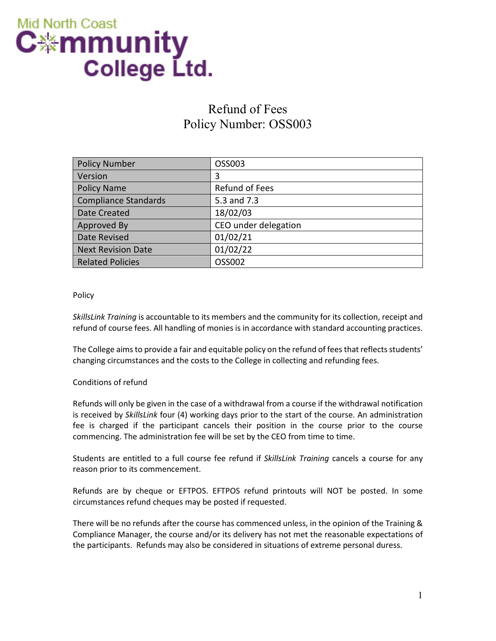

# Refund of Fees Policy Number: OSS003

| <b>Policy Number</b>      | OSS003               |
|---------------------------|----------------------|
| Version                   | 3                    |
| <b>Policy Name</b>        | Refund of Fees       |
| Compliance Standards      | 5.3 and 7.3          |
| Date Created              | 18/02/03             |
| Approved By               | CEO under delegation |
| Date Revised              | 01/02/21             |
| <b>Next Revision Date</b> | 01/02/22             |
| <b>Related Policies</b>   | OSS002               |

### Policy

*SkillsLink Training* is accountable to its members and the community for its collection, receipt and refund of course fees. All handling of monies is in accordance with standard accounting practices.

The College aims to provide a fair and equitable policy on the refund of fees that reflects students' changing circumstances and the costs to the College in collecting and refunding fees.

### Conditions of refund

Refunds will only be given in the case of a withdrawal from a course if the withdrawal notification is received by *SkillsLink* four (4) working days prior to the start of the course. An administration fee is charged if the participant cancels their position in the course prior to the course commencing. The administration fee will be set by the CEO from time to time.

Students are entitled to a full course fee refund if *SkillsLink Training* cancels a course for any reason prior to its commencement.

Refunds are by cheque or EFTPOS. EFTPOS refund printouts will NOT be posted. In some circumstances refund cheques may be posted if requested.

There will be no refunds after the course has commenced unless, in the opinion of the Training & Compliance Manager, the course and/or its delivery has not met the reasonable expectations of the participants. Refunds may also be considered in situations of extreme personal duress.